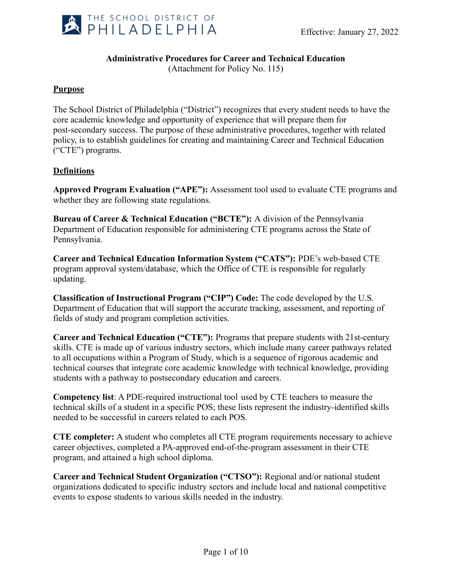

## **Administrative Procedures for Career and Technical Education**

(Attachment for Policy No. 115)

### **Purpose**

The School District of Philadelphia ("District") recognizes that every student needs to have the core academic knowledge and opportunity of experience that will prepare them for post-secondary success. The purpose of these administrative procedures, together with related policy, is to establish guidelines for creating and maintaining Career and Technical Education ("CTE") programs.

### **Definitions**

**Approved Program Evaluation ("APE"):** Assessment tool used to evaluate CTE programs and whether they are following state regulations.

**Bureau of Career & Technical Education ("BCTE"):** A division of the Pennsylvania Department of Education responsible for administering CTE programs across the State of Pennsylvania.

**Career and Technical Education Information System ("CATS"):** PDE's web-based CTE program approval system/database, which the Office of CTE is responsible for regularly updating.

**Classification of Instructional Program ("CIP") Code:** The code developed by the U.S. Department of Education that will support the accurate tracking, assessment, and reporting of fields of study and program completion activities.

**Career and Technical Education ("CTE"):** Programs that prepare students with 21st-century skills. CTE is made up of various industry sectors, which include many career pathways related to all occupations within a Program of Study, which is a sequence of rigorous academic and technical courses that integrate core academic knowledge with technical knowledge, providing students with a pathway to postsecondary education and careers.

**Competency list**: A PDE-required instructional tool used by CTE teachers to measure the technical skills of a student in a specific POS; these lists represent the industry-identified skills needed to be successful in careers related to each POS.

**CTE completer:** A student who completes all CTE program requirements necessary to achieve career objectives, completed a PA-approved end-of-the-program assessment in their CTE program, and attained a high school diploma.

**Career and Technical Student Organization ("CTSO"):** Regional and/or national student organizations dedicated to specific industry sectors and include local and national competitive events to expose students to various skills needed in the industry.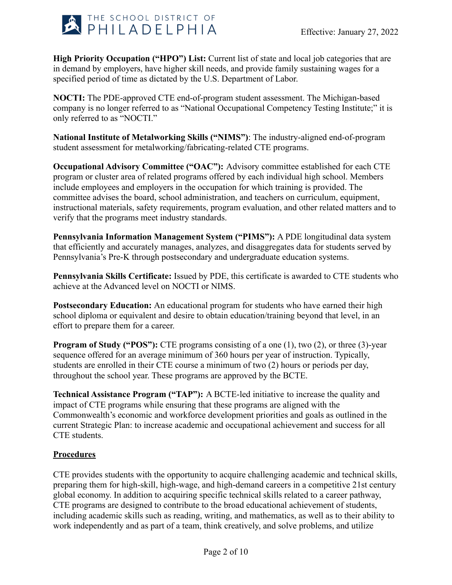

**High Priority Occupation ("HPO") List:** Current list of state and local job categories that are in demand by employers, have higher skill needs, and provide family sustaining wages for a specified period of time as dictated by the U.S. Department of Labor.

**NOCTI:** The PDE-approved CTE end-of-program student assessment. The Michigan-based company is no longer referred to as "National Occupational Competency Testing Institute;" it is only referred to as "NOCTI."

**National Institute of Metalworking Skills ("NIMS")**: The industry-aligned end-of-program student assessment for metalworking/fabricating-related CTE programs.

**Occupational Advisory Committee ("OAC"):** Advisory committee established for each CTE program or cluster area of related programs offered by each individual high school. Members include employees and employers in the occupation for which training is provided. The committee advises the board, school administration, and teachers on curriculum, equipment, instructional materials, safety requirements, program evaluation, and other related matters and to verify that the programs meet industry standards.

**Pennsylvania Information Management System ("PIMS"):** A PDE longitudinal data system that efficiently and accurately manages, analyzes, and disaggregates data for students served by Pennsylvania's Pre-K through postsecondary and undergraduate education systems.

**Pennsylvania Skills Certificate:** Issued by PDE, this certificate is awarded to CTE students who achieve at the Advanced level on NOCTI or NIMS.

**Postsecondary Education:** An educational program for students who have earned their high school diploma or equivalent and desire to obtain education/training beyond that level, in an effort to prepare them for a career.

**Program of Study ("POS"):** CTE programs consisting of a one (1), two (2), or three (3)-year sequence offered for an average minimum of 360 hours per year of instruction. Typically, students are enrolled in their CTE course a minimum of two (2) hours or periods per day, throughout the school year. These programs are approved by the BCTE.

**Technical Assistance Program ("TAP"):** A BCTE-led initiative to increase the quality and impact of CTE programs while ensuring that these programs are aligned with the Commonwealth's economic and workforce development priorities and goals as outlined in the current Strategic Plan: to increase academic and occupational achievement and success for all CTE students.

# **Procedures**

CTE provides students with the opportunity to acquire challenging academic and technical skills, preparing them for high-skill, high-wage, and high-demand careers in a competitive 21st century global economy. In addition to acquiring specific technical skills related to a career pathway, CTE programs are designed to contribute to the broad educational achievement of students, including academic skills such as reading, writing, and mathematics, as well as to their ability to work independently and as part of a team, think creatively, and solve problems, and utilize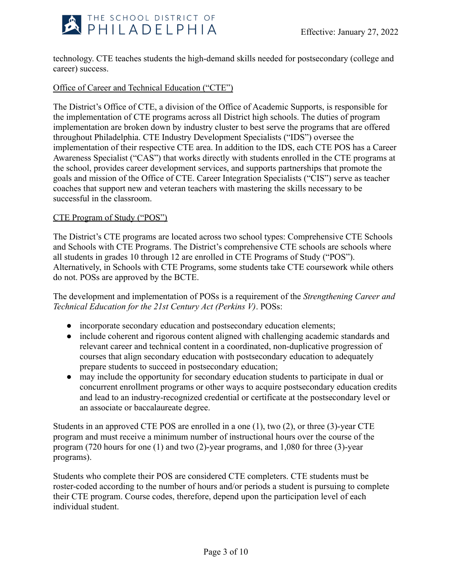

technology. CTE teaches students the high-demand skills needed for postsecondary (college and career) success.

## Office of Career and Technical Education ("CTE")

The District's Office of CTE, a division of the Office of Academic Supports, is responsible for the implementation of CTE programs across all District high schools. The duties of program implementation are broken down by industry cluster to best serve the programs that are offered throughout Philadelphia. CTE Industry Development Specialists ("IDS") oversee the implementation of their respective CTE area. In addition to the IDS, each CTE POS has a Career Awareness Specialist ("CAS") that works directly with students enrolled in the CTE programs at the school, provides career development services, and supports partnerships that promote the goals and mission of the Office of CTE. Career Integration Specialists ("CIS") serve as teacher coaches that support new and veteran teachers with mastering the skills necessary to be successful in the classroom.

### CTE Program of Study ("POS")

The District's CTE programs are located across two school types: Comprehensive CTE Schools and Schools with CTE Programs. The District's comprehensive CTE schools are schools where all students in grades 10 through 12 are enrolled in CTE Programs of Study ("POS"). Alternatively, in Schools with CTE Programs, some students take CTE coursework while others do not. POSs are approved by the BCTE.

The development and implementation of POSs is a requirement of the *Strengthening Career and Technical Education for the 21st Century Act (Perkins V)*. POSs:

- incorporate secondary education and postsecondary education elements;
- include coherent and rigorous content aligned with challenging academic standards and relevant career and technical content in a coordinated, non-duplicative progression of courses that align secondary education with postsecondary education to adequately prepare students to succeed in postsecondary education;
- may include the opportunity for secondary education students to participate in dual or concurrent enrollment programs or other ways to acquire postsecondary education credits and lead to an industry-recognized credential or certificate at the postsecondary level or an associate or baccalaureate degree.

Students in an approved CTE POS are enrolled in a one (1), two (2), or three (3)-year CTE program and must receive a minimum number of instructional hours over the course of the program (720 hours for one (1) and two (2)-year programs, and 1,080 for three (3)-year programs).

Students who complete their POS are considered CTE completers. CTE students must be roster-coded according to the number of hours and/or periods a student is pursuing to complete their CTE program. Course codes, therefore, depend upon the participation level of each individual student.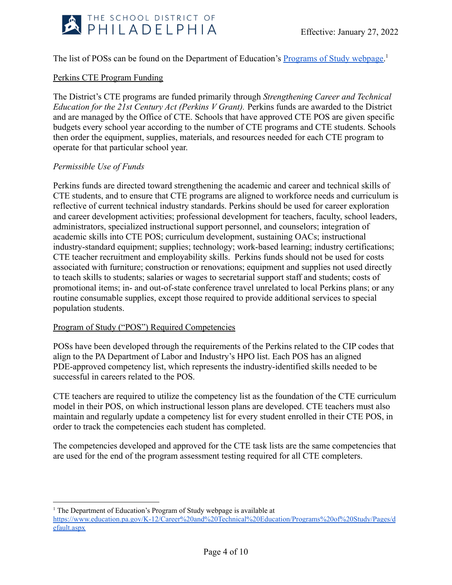

## The list of POSs can be found on the Department of Education's [Programs of Study webpage.](https://www.education.pa.gov/K-12/Career%20and%20Technical%20Education/Programs%20of%20Study/Pages/default.aspx)<sup>1</sup>

### Perkins CTE Program Funding

The District's CTE programs are funded primarily through *Strengthening Career and Technical Education for the 21st Century Act (Perkins V Grant).* Perkins funds are awarded to the District and are managed by the Office of CTE. Schools that have approved CTE POS are given specific budgets every school year according to the number of CTE programs and CTE students. Schools then order the equipment, supplies, materials, and resources needed for each CTE program to operate for that particular school year.

#### *Permissible Use of Funds*

Perkins funds are directed toward strengthening the academic and career and technical skills of CTE students, and to ensure that CTE programs are aligned to workforce needs and curriculum is reflective of current technical industry standards. Perkins should be used for career exploration and career development activities; professional development for teachers, faculty, school leaders, administrators, specialized instructional support personnel, and counselors; integration of academic skills into CTE POS; curriculum development, sustaining OACs; instructional industry-standard equipment; supplies; technology; work-based learning; industry certifications; CTE teacher recruitment and employability skills. Perkins funds should not be used for costs associated with furniture; construction or renovations; equipment and supplies not used directly to teach skills to students; salaries or wages to secretarial support staff and students; costs of promotional items; in- and out-of-state conference travel unrelated to local Perkins plans; or any routine consumable supplies, except those required to provide additional services to special population students.

#### Program of Study ("POS") Required Competencies

POSs have been developed through the requirements of the Perkins related to the CIP codes that align to the PA Department of Labor and Industry's HPO list. Each POS has an aligned PDE-approved competency list, which represents the industry-identified skills needed to be successful in careers related to the POS.

CTE teachers are required to utilize the competency list as the foundation of the CTE curriculum model in their POS, on which instructional lesson plans are developed. CTE teachers must also maintain and regularly update a competency list for every student enrolled in their CTE POS, in order to track the competencies each student has completed.

The competencies developed and approved for the CTE task lists are the same competencies that are used for the end of the program assessment testing required for all CTE completers.

<sup>&</sup>lt;sup>1</sup> The Department of Education's Program of Study webpage is available at

[https://www.education.pa.gov/K-12/Career%20and%20Technical%20Education/Programs%20of%20Study/Pages/d](https://www.education.pa.gov/K-12/Career%20and%20Technical%20Education/Programs%20of%20Study/Pages/default.aspx) [efault.aspx](https://www.education.pa.gov/K-12/Career%20and%20Technical%20Education/Programs%20of%20Study/Pages/default.aspx)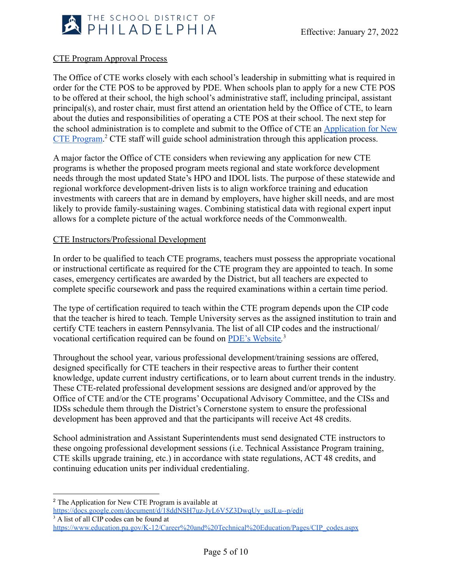

## CTE Program Approval Process

The Office of CTE works closely with each school's leadership in submitting what is required in order for the CTE POS to be approved by PDE. When schools plan to apply for a new CTE POS to be offered at their school, the high school's administrative staff, including principal, assistant principal(s), and roster chair, must first attend an orientation held by the Office of CTE, to learn about the duties and responsibilities of operating a CTE POS at their school. The next step for the school administration is to complete and submit to the Office of CTE an [Application for New](https://docs.google.com/document/d/18ddNSH7uz-JyL6V5Z3DwqUy_usJLu--p/edit?usp=sharing&ouid=102921846855266971814&rtpof=true&sd=true) [CTE Program.](https://docs.google.com/document/d/18ddNSH7uz-JyL6V5Z3DwqUy_usJLu--p/edit?usp=sharing&ouid=102921846855266971814&rtpof=true&sd=true) <sup>2</sup> CTE staff will guide school administration through this application process.

A major factor the Office of CTE considers when reviewing any application for new CTE programs is whether the proposed program meets regional and state workforce development needs through the most updated State's HPO and IDOL lists. The purpose of these statewide and regional workforce development-driven lists is to align workforce training and education investments with careers that are in demand by employers, have higher skill needs, and are most likely to provide family-sustaining wages. Combining statistical data with regional expert input allows for a complete picture of the actual workforce needs of the Commonwealth.

#### CTE Instructors/Professional Development

In order to be qualified to teach CTE programs, teachers must possess the appropriate vocational or instructional certificate as required for the CTE program they are appointed to teach. In some cases, emergency certificates are awarded by the District, but all teachers are expected to complete specific coursework and pass the required examinations within a certain time period.

The type of certification required to teach within the CTE program depends upon the CIP code that the teacher is hired to teach. Temple University serves as the assigned institution to train and certify CTE teachers in eastern Pennsylvania. The list of all CIP codes and the instructional/ vocational certification required can be found on [PDE's Website](https://www.education.pa.gov/K-12/Career%20and%20Technical%20Education/Pages/CIP_codes.aspx)*.* 3

Throughout the school year, various professional development/training sessions are offered, designed specifically for CTE teachers in their respective areas to further their content knowledge, update current industry certifications, or to learn about current trends in the industry. These CTE-related professional development sessions are designed and/or approved by the Office of CTE and/or the CTE programs' Occupational Advisory Committee, and the CISs and IDSs schedule them through the District's Cornerstone system to ensure the professional development has been approved and that the participants will receive Act 48 credits.

School administration and Assistant Superintendents must send designated CTE instructors to these ongoing professional development sessions (i.e. Technical Assistance Program training, CTE skills upgrade training, etc.) in accordance with state regulations, ACT 48 credits, and continuing education units per individual credentialing.

<sup>3</sup> A list of all CIP codes can be found at

<sup>2</sup> The Application for New CTE Program is available at

[https://docs.google.com/document/d/18ddNSH7uz-JyL6V5Z3DwqUy\\_usJLu--p/edit](https://docs.google.com/document/d/18ddNSH7uz-JyL6V5Z3DwqUy_usJLu--p/edit)

[https://www.education.pa.gov/K-12/Career%20and%20Technical%20Education/Pages/CIP\\_codes.aspx](https://www.education.pa.gov/K-12/Career%20and%20Technical%20Education/Pages/CIP_codes.aspx)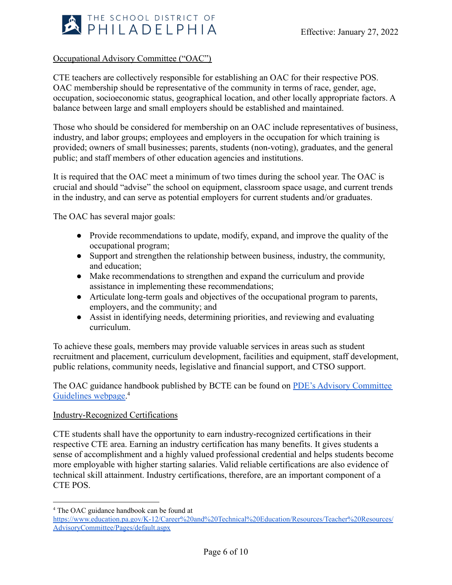

### Occupational Advisory Committee ("OAC")

CTE teachers are collectively responsible for establishing an OAC for their respective POS. OAC membership should be representative of the community in terms of race, gender, age, occupation, socioeconomic status, geographical location, and other locally appropriate factors. A balance between large and small employers should be established and maintained.

Those who should be considered for membership on an OAC include representatives of business, industry, and labor groups; employees and employers in the occupation for which training is provided; owners of small businesses; parents, students (non-voting), graduates, and the general public; and staff members of other education agencies and institutions.

It is required that the OAC meet a minimum of two times during the school year. The OAC is crucial and should "advise" the school on equipment, classroom space usage, and current trends in the industry, and can serve as potential employers for current students and/or graduates.

The OAC has several major goals:

- Provide recommendations to update, modify, expand, and improve the quality of the occupational program;
- Support and strengthen the relationship between business, industry, the community, and education;
- Make recommendations to strengthen and expand the curriculum and provide assistance in implementing these recommendations;
- Articulate long-term goals and objectives of the occupational program to parents, employers, and the community; and
- Assist in identifying needs, determining priorities, and reviewing and evaluating curriculum.

To achieve these goals, members may provide valuable services in areas such as student recruitment and placement, curriculum development, facilities and equipment, staff development, public relations, community needs, legislative and financial support, and CTSO support.

The OAC guidance handbook published by BCTE can be found on [PDE's Advisory Committee](https://www.education.pa.gov/K-12/Career%20and%20Technical%20Education/Resources/Teacher%20Resources/AdvisoryCommittee/Pages/default.aspx) [Guidelines webpage.](https://www.education.pa.gov/K-12/Career%20and%20Technical%20Education/Resources/Teacher%20Resources/AdvisoryCommittee/Pages/default.aspx)<sup>4</sup>

#### Industry-Recognized Certifications

CTE students shall have the opportunity to earn industry-recognized certifications in their respective CTE area. Earning an industry certification has many benefits. It gives students a sense of accomplishment and a highly valued professional credential and helps students become more employable with higher starting salaries. Valid reliable certifications are also evidence of technical skill attainment. Industry certifications, therefore, are an important component of a CTE POS.

<sup>4</sup> The OAC guidance handbook can be found at

[https://www.education.pa.gov/K-12/Career%20and%20Technical%20Education/Resources/Teacher%20Resources/](https://www.education.pa.gov/K-12/Career%20and%20Technical%20Education/Resources/Teacher%20Resources/AdvisoryCommittee/Pages/default.aspx) [AdvisoryCommittee/Pages/default.aspx](https://www.education.pa.gov/K-12/Career%20and%20Technical%20Education/Resources/Teacher%20Resources/AdvisoryCommittee/Pages/default.aspx)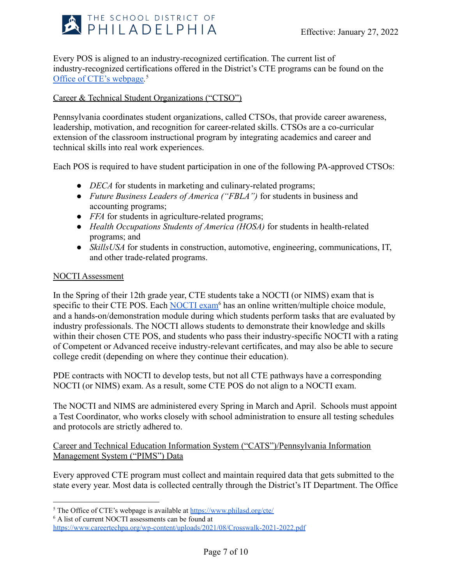

Every POS is aligned to an industry-recognized certification. The current list of industry-recognized certifications offered in the District's CTE programs can be found on the [Office of CTE's webpage](https://www.philasd.org/cte/)*.* 5

# Career & Technical Student Organizations ("CTSO")

Pennsylvania coordinates student organizations, called CTSOs, that provide career awareness, leadership, motivation, and recognition for career-related skills. CTSOs are a co-curricular extension of the classroom instructional program by integrating academics and career and technical skills into real work experiences.

Each POS is required to have student participation in one of the following PA-approved CTSOs:

- *DECA* for students in marketing and culinary-related programs;
- *Future Business Leaders of America ("FBLA")* for students in business and accounting programs;
- *FFA* for students in agriculture-related programs;
- *Health Occupations Students of America (HOSA)* for students in health-related programs; and
- *SkillsUSA* for students in construction, automotive, engineering, communications, IT, and other trade-related programs.

#### NOCTI Assessment

In the Spring of their 12th grade year, CTE students take a NOCTI (or NIMS) exam that is specific to their CTE POS. Each [NOCTI exam](https://www.careertechpa.org/wp-content/uploads/2021/08/Crosswalk-2021-2022.pdf)<sup>6</sup> has an online written/multiple choice module, and a hands-on/demonstration module during which students perform tasks that are evaluated by industry professionals. The NOCTI allows students to demonstrate their knowledge and skills within their chosen CTE POS, and students who pass their industry-specific NOCTI with a rating of Competent or Advanced receive industry-relevant certificates, and may also be able to secure college credit (depending on where they continue their education).

PDE contracts with NOCTI to develop tests, but not all CTE pathways have a corresponding NOCTI (or NIMS) exam. As a result, some CTE POS do not align to a NOCTI exam.

The NOCTI and NIMS are administered every Spring in March and April. Schools must appoint a Test Coordinator, who works closely with school administration to ensure all testing schedules and protocols are strictly adhered to.

Career and Technical Education Information System ("CATS")/Pennsylvania Information Management System ("PIMS") Data

Every approved CTE program must collect and maintain required data that gets submitted to the state every year. Most data is collected centrally through the District's IT Department. The Office

<sup>&</sup>lt;sup>5</sup> The Office of CTE's webpage is available at <https://www.philasd.org/cte/>

<sup>6</sup> A list of current NOCTI assessments can be found at

<https://www.careertechpa.org/wp-content/uploads/2021/08/Crosswalk-2021-2022.pdf>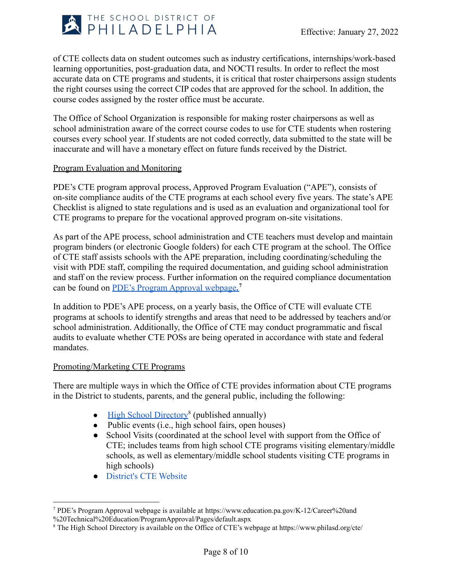

of CTE collects data on student outcomes such as industry certifications, internships/work-based learning opportunities, post-graduation data, and NOCTI results. In order to reflect the most accurate data on CTE programs and students, it is critical that roster chairpersons assign students the right courses using the correct CIP codes that are approved for the school. In addition, the course codes assigned by the roster office must be accurate.

The Office of School Organization is responsible for making roster chairpersons as well as school administration aware of the correct course codes to use for CTE students when rostering courses every school year. If students are not coded correctly, data submitted to the state will be inaccurate and will have a monetary effect on future funds received by the District.

#### Program Evaluation and Monitoring

PDE's CTE program approval process, Approved Program Evaluation ("APE"), consists of on-site compliance audits of the CTE programs at each school every five years. The state's APE Checklist is aligned to state regulations and is used as an evaluation and organizational tool for CTE programs to prepare for the vocational approved program on-site visitations.

As part of the APE process, school administration and CTE teachers must develop and maintain program binders (or electronic Google folders) for each CTE program at the school. The Office of CTE staff assists schools with the APE preparation, including coordinating/scheduling the visit with PDE staff, compiling the required documentation, and guiding school administration and staff on the review process. Further information on the required compliance documentation can be found on [PDE's Program Approval webpage](https://www.education.pa.gov/K-12/Career%20and%20Technical%20Education/ProgramApproval/Pages/default.aspx)*.* **7**

In addition to PDE's APE process, on a yearly basis, the Office of CTE will evaluate CTE programs at schools to identify strengths and areas that need to be addressed by teachers and/or school administration. Additionally, the Office of CTE may conduct programmatic and fiscal audits to evaluate whether CTE POSs are being operated in accordance with state and federal mandates.

#### Promoting/Marketing CTE Programs

There are multiple ways in which the Office of CTE provides information about CTE programs in the District to students, parents, and the general public, including the following:

- [High School Directory](https://www.philasd.org/cte/)<sup>8</sup> (published annually)
- $\bullet$  Public events (i.e., high school fairs, open houses)
- School Visits (coordinated at the school level with support from the Office of CTE; includes teams from high school CTE programs visiting elementary/middle schools, as well as elementary/middle school students visiting CTE programs in high schools)
- [District's CTE Website](https://www.philasd.org/cte/)

<sup>7</sup> PDE's Program Approval webpage is available at [https://www.education.pa.gov/K-12/Career%20and](https://www.education.pa.gov/K-12/Career%20and%20Technical%20Education/ProgramApproval/Pages/default.aspx) [%20Technical%20Education/ProgramApproval/Pages/default.aspx](https://www.education.pa.gov/K-12/Career%20and%20Technical%20Education/ProgramApproval/Pages/default.aspx)

<sup>8</sup> The High School Directory is available on the Office of CTE's webpage at <https://www.philasd.org/cte/>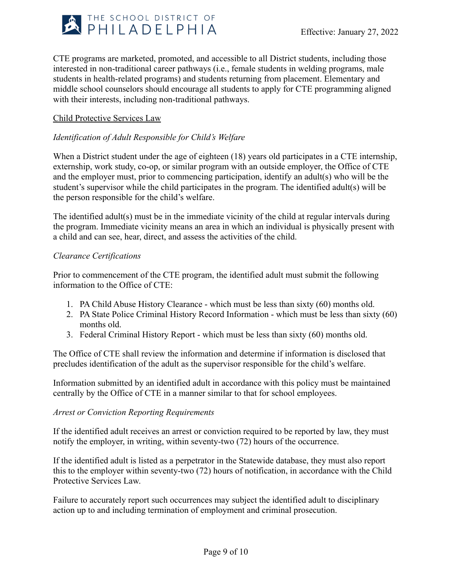

CTE programs are marketed, promoted, and accessible to all District students, including those interested in non-traditional career pathways (i.e., female students in welding programs, male students in health-related programs) and students returning from placement. Elementary and middle school counselors should encourage all students to apply for CTE programming aligned with their interests, including non-traditional pathways.

### Child Protective Services Law

# *Identification of Adult Responsible for Child's Welfare*

When a District student under the age of eighteen (18) years old participates in a CTE internship, externship, work study, co-op, or similar program with an outside employer, the Office of CTE and the employer must, prior to commencing participation, identify an adult(s) who will be the student's supervisor while the child participates in the program. The identified adult(s) will be the person responsible for the child's welfare.

The identified adult(s) must be in the immediate vicinity of the child at regular intervals during the program. Immediate vicinity means an area in which an individual is physically present with a child and can see, hear, direct, and assess the activities of the child.

#### *Clearance Certifications*

Prior to commencement of the CTE program, the identified adult must submit the following information to the Office of CTE:

- 1. PA Child Abuse History Clearance which must be less than sixty (60) months old.
- 2. PA State Police Criminal History Record Information which must be less than sixty (60) months old.
- 3. Federal Criminal History Report which must be less than sixty (60) months old.

The Office of CTE shall review the information and determine if information is disclosed that precludes identification of the adult as the supervisor responsible for the child's welfare.

Information submitted by an identified adult in accordance with this policy must be maintained centrally by the Office of CTE in a manner similar to that for school employees.

#### *Arrest or Conviction Reporting Requirements*

If the identified adult receives an arrest or conviction required to be reported by law, they must notify the employer, in writing, within seventy-two (72) hours of the occurrence.

If the identified adult is listed as a perpetrator in the Statewide database, they must also report this to the employer within seventy-two (72) hours of notification, in accordance with the Child Protective Services Law.

Failure to accurately report such occurrences may subject the identified adult to disciplinary action up to and including termination of employment and criminal prosecution.